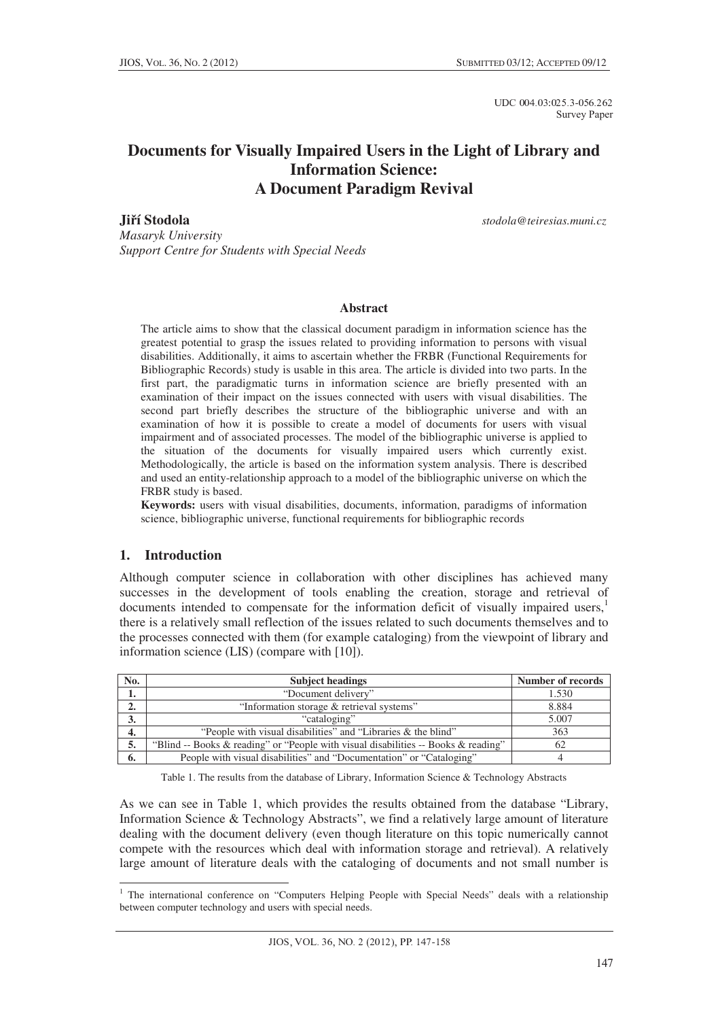UDC 004.03:025.3-056.262 Survey Paper

# **Documents for Visually Impaired Users in the Light of Library and Information Science: A Document Paradigm Revival**

**JiĜí Stodola** *stodola@teiresias.muni.cz*

*Masaryk University Support Centre for Students with Special Needs* 

#### **Abstract**

The article aims to show that the classical document paradigm in information science has the greatest potential to grasp the issues related to providing information to persons with visual disabilities. Additionally, it aims to ascertain whether the FRBR (Functional Requirements for Bibliographic Records) study is usable in this area. The article is divided into two parts. In the first part, the paradigmatic turns in information science are briefly presented with an examination of their impact on the issues connected with users with visual disabilities. The second part briefly describes the structure of the bibliographic universe and with an examination of how it is possible to create a model of documents for users with visual impairment and of associated processes. The model of the bibliographic universe is applied to the situation of the documents for visually impaired users which currently exist. Methodologically, the article is based on the information system analysis. There is described and used an entity-relationship approach to a model of the bibliographic universe on which the FRBR study is based.

**Keywords:** users with visual disabilities, documents, information, paradigms of information science, bibliographic universe, functional requirements for bibliographic records

# **1. Introduction**

Although computer science in collaboration with other disciplines has achieved many successes in the development of tools enabling the creation, storage and retrieval of documents intended to compensate for the information deficit of visually impaired users, $1$ there is a relatively small reflection of the issues related to such documents themselves and to the processes connected with them (for example cataloging) from the viewpoint of library and information science (LIS) (compare with [10]).

| No. | <b>Subject headings</b>                                                            | <b>Number of records</b> |
|-----|------------------------------------------------------------------------------------|--------------------------|
| ı.  | "Document delivery"                                                                | 1.530                    |
| ۷.  | "Information storage & retrieval systems"                                          | 8.884                    |
| 3.  | "cataloging"                                                                       | 5.007                    |
| 4.  | "People with visual disabilities" and "Libraries & the blind"                      | 363                      |
| 5.  | "Blind -- Books & reading" or "People with visual disabilities -- Books & reading" | 62                       |
| 6.  | People with visual disabilities" and "Documentation" or "Cataloging"               |                          |

Table 1. The results from the database of Library, Information Science & Technology Abstracts

As we can see in Table 1, which provides the results obtained from the database "Library, Information Science & Technology Abstracts", we find a relatively large amount of literature dealing with the document delivery (even though literature on this topic numerically cannot compete with the resources which deal with information storage and retrieval). A relatively large amount of literature deals with the cataloging of documents and not small number is

<sup>&</sup>lt;sup>1</sup> The international conference on "Computers Helping People with Special Needs" deals with a relationship between computer technology and users with special needs.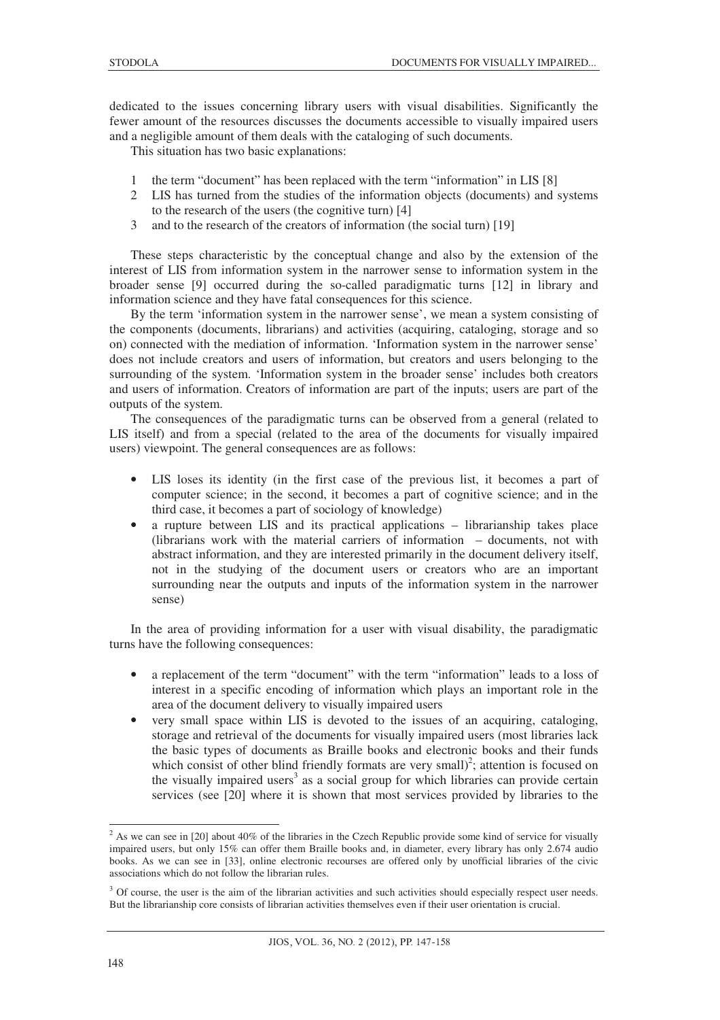dedicated to the issues concerning library users with visual disabilities. Significantly the fewer amount of the resources discusses the documents accessible to visually impaired users and a negligible amount of them deals with the cataloging of such documents.

This situation has two basic explanations:

- 1 the term "document" has been replaced with the term "information" in LIS [8]
- 2 LIS has turned from the studies of the information objects (documents) and systems to the research of the users (the cognitive turn) [4]
- 3 and to the research of the creators of information (the social turn) [19]

These steps characteristic by the conceptual change and also by the extension of the interest of LIS from information system in the narrower sense to information system in the broader sense [9] occurred during the so-called paradigmatic turns [12] in library and information science and they have fatal consequences for this science.

By the term 'information system in the narrower sense', we mean a system consisting of the components (documents, librarians) and activities (acquiring, cataloging, storage and so on) connected with the mediation of information. 'Information system in the narrower sense' does not include creators and users of information, but creators and users belonging to the surrounding of the system. 'Information system in the broader sense' includes both creators and users of information. Creators of information are part of the inputs; users are part of the outputs of the system.

The consequences of the paradigmatic turns can be observed from a general (related to LIS itself) and from a special (related to the area of the documents for visually impaired users) viewpoint. The general consequences are as follows:

- LIS loses its identity (in the first case of the previous list, it becomes a part of computer science; in the second, it becomes a part of cognitive science; and in the third case, it becomes a part of sociology of knowledge)
- a rupture between LIS and its practical applications librarianship takes place (librarians work with the material carriers of information – documents, not with abstract information, and they are interested primarily in the document delivery itself, not in the studying of the document users or creators who are an important surrounding near the outputs and inputs of the information system in the narrower sense)

In the area of providing information for a user with visual disability, the paradigmatic turns have the following consequences:

- a replacement of the term "document" with the term "information" leads to a loss of interest in a specific encoding of information which plays an important role in the area of the document delivery to visually impaired users
- very small space within LIS is devoted to the issues of an acquiring, cataloging, storage and retrieval of the documents for visually impaired users (most libraries lack the basic types of documents as Braille books and electronic books and their funds which consist of other blind friendly formats are very small)<sup>2</sup>; attention is focused on the visually impaired users<sup>3</sup> as a social group for which libraries can provide certain services (see [20] where it is shown that most services provided by libraries to the

<sup>&</sup>lt;sup>2</sup> As we can see in [20] about 40% of the libraries in the Czech Republic provide some kind of service for visually impaired users, but only 15% can offer them Braille books and, in diameter, every library has only 2.674 audio books. As we can see in [33], online electronic recourses are offered only by unofficial libraries of the civic associations which do not follow the librarian rules.

<sup>&</sup>lt;sup>3</sup> Of course, the user is the aim of the librarian activities and such activities should especially respect user needs. But the librarianship core consists of librarian activities themselves even if their user orientation is crucial.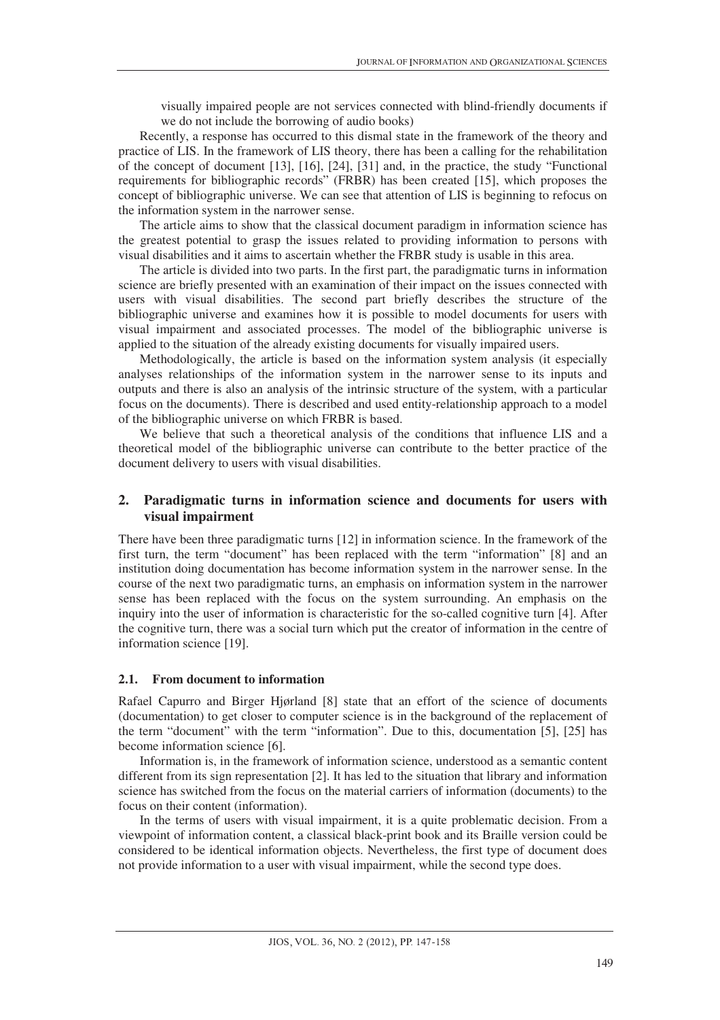visually impaired people are not services connected with blind-friendly documents if we do not include the borrowing of audio books)

Recently, a response has occurred to this dismal state in the framework of the theory and practice of LIS. In the framework of LIS theory, there has been a calling for the rehabilitation of the concept of document [13], [16], [24], [31] and, in the practice, the study "Functional requirements for bibliographic records" (FRBR) has been created [15], which proposes the concept of bibliographic universe. We can see that attention of LIS is beginning to refocus on the information system in the narrower sense.

The article aims to show that the classical document paradigm in information science has the greatest potential to grasp the issues related to providing information to persons with visual disabilities and it aims to ascertain whether the FRBR study is usable in this area.

The article is divided into two parts. In the first part, the paradigmatic turns in information science are briefly presented with an examination of their impact on the issues connected with users with visual disabilities. The second part briefly describes the structure of the bibliographic universe and examines how it is possible to model documents for users with visual impairment and associated processes. The model of the bibliographic universe is applied to the situation of the already existing documents for visually impaired users.

Methodologically, the article is based on the information system analysis (it especially analyses relationships of the information system in the narrower sense to its inputs and outputs and there is also an analysis of the intrinsic structure of the system, with a particular focus on the documents). There is described and used entity-relationship approach to a model of the bibliographic universe on which FRBR is based.

We believe that such a theoretical analysis of the conditions that influence LIS and a theoretical model of the bibliographic universe can contribute to the better practice of the document delivery to users with visual disabilities.

# **2. Paradigmatic turns in information science and documents for users with visual impairment**

There have been three paradigmatic turns [12] in information science. In the framework of the first turn, the term "document" has been replaced with the term "information" [8] and an institution doing documentation has become information system in the narrower sense. In the course of the next two paradigmatic turns, an emphasis on information system in the narrower sense has been replaced with the focus on the system surrounding. An emphasis on the inquiry into the user of information is characteristic for the so-called cognitive turn [4]. After the cognitive turn, there was a social turn which put the creator of information in the centre of information science [19].

#### **2.1. From document to information**

Rafael Capurro and Birger Hjørland [8] state that an effort of the science of documents (documentation) to get closer to computer science is in the background of the replacement of the term "document" with the term "information". Due to this, documentation [5], [25] has become information science [6].

Information is, in the framework of information science, understood as a semantic content different from its sign representation [2]. It has led to the situation that library and information science has switched from the focus on the material carriers of information (documents) to the focus on their content (information).

In the terms of users with visual impairment, it is a quite problematic decision. From a viewpoint of information content, a classical black-print book and its Braille version could be considered to be identical information objects. Nevertheless, the first type of document does not provide information to a user with visual impairment, while the second type does.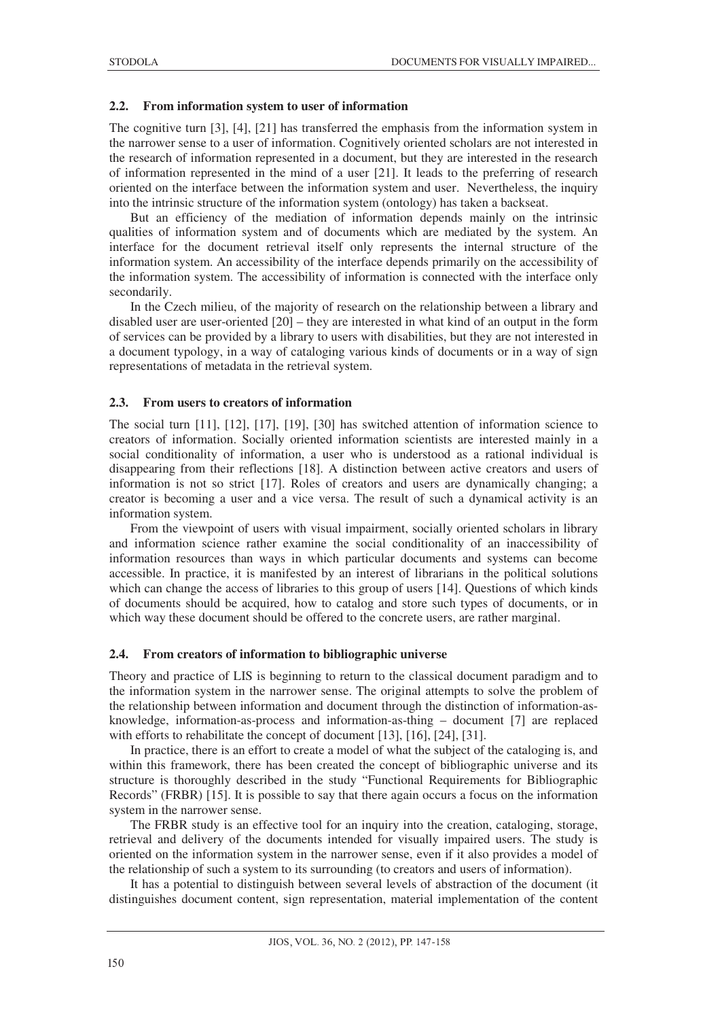# **2.2. From information system to user of information**

The cognitive turn [3], [4], [21] has transferred the emphasis from the information system in the narrower sense to a user of information. Cognitively oriented scholars are not interested in the research of information represented in a document, but they are interested in the research of information represented in the mind of a user [21]. It leads to the preferring of research oriented on the interface between the information system and user. Nevertheless, the inquiry into the intrinsic structure of the information system (ontology) has taken a backseat.

But an efficiency of the mediation of information depends mainly on the intrinsic qualities of information system and of documents which are mediated by the system. An interface for the document retrieval itself only represents the internal structure of the information system. An accessibility of the interface depends primarily on the accessibility of the information system. The accessibility of information is connected with the interface only secondarily.

In the Czech milieu, of the majority of research on the relationship between a library and disabled user are user-oriented [20] – they are interested in what kind of an output in the form of services can be provided by a library to users with disabilities, but they are not interested in a document typology, in a way of cataloging various kinds of documents or in a way of sign representations of metadata in the retrieval system.

### **2.3. From users to creators of information**

The social turn [11], [12], [17], [19], [30] has switched attention of information science to creators of information. Socially oriented information scientists are interested mainly in a social conditionality of information, a user who is understood as a rational individual is disappearing from their reflections [18]. A distinction between active creators and users of information is not so strict [17]. Roles of creators and users are dynamically changing; a creator is becoming a user and a vice versa. The result of such a dynamical activity is an information system.

From the viewpoint of users with visual impairment, socially oriented scholars in library and information science rather examine the social conditionality of an inaccessibility of information resources than ways in which particular documents and systems can become accessible. In practice, it is manifested by an interest of librarians in the political solutions which can change the access of libraries to this group of users [14]. Questions of which kinds of documents should be acquired, how to catalog and store such types of documents, or in which way these document should be offered to the concrete users, are rather marginal.

### **2.4. From creators of information to bibliographic universe**

Theory and practice of LIS is beginning to return to the classical document paradigm and to the information system in the narrower sense. The original attempts to solve the problem of the relationship between information and document through the distinction of information-asknowledge, information-as-process and information-as-thing – document [7] are replaced with efforts to rehabilitate the concept of document [13], [16], [24], [31].

In practice, there is an effort to create a model of what the subject of the cataloging is, and within this framework, there has been created the concept of bibliographic universe and its structure is thoroughly described in the study "Functional Requirements for Bibliographic Records" (FRBR) [15]. It is possible to say that there again occurs a focus on the information system in the narrower sense.

The FRBR study is an effective tool for an inquiry into the creation, cataloging, storage, retrieval and delivery of the documents intended for visually impaired users. The study is oriented on the information system in the narrower sense, even if it also provides a model of the relationship of such a system to its surrounding (to creators and users of information).

It has a potential to distinguish between several levels of abstraction of the document (it distinguishes document content, sign representation, material implementation of the content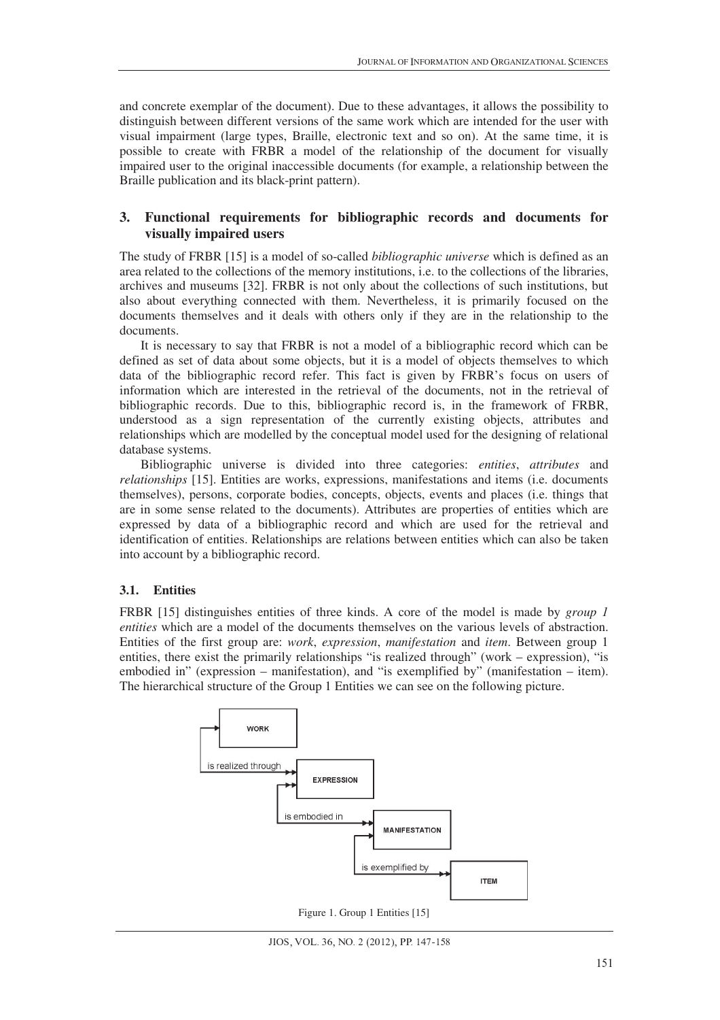and concrete exemplar of the document). Due to these advantages, it allows the possibility to distinguish between different versions of the same work which are intended for the user with visual impairment (large types, Braille, electronic text and so on). At the same time, it is possible to create with FRBR a model of the relationship of the document for visually impaired user to the original inaccessible documents (for example, a relationship between the Braille publication and its black-print pattern).

# **3. Functional requirements for bibliographic records and documents for visually impaired users**

The study of FRBR [15] is a model of so-called *bibliographic universe* which is defined as an area related to the collections of the memory institutions, i.e. to the collections of the libraries, archives and museums [32]. FRBR is not only about the collections of such institutions, but also about everything connected with them. Nevertheless, it is primarily focused on the documents themselves and it deals with others only if they are in the relationship to the documents.

It is necessary to say that FRBR is not a model of a bibliographic record which can be defined as set of data about some objects, but it is a model of objects themselves to which data of the bibliographic record refer. This fact is given by FRBR's focus on users of information which are interested in the retrieval of the documents, not in the retrieval of bibliographic records. Due to this, bibliographic record is, in the framework of FRBR, understood as a sign representation of the currently existing objects, attributes and relationships which are modelled by the conceptual model used for the designing of relational database systems.

Bibliographic universe is divided into three categories: *entities*, *attributes* and *relationships* [15]. Entities are works, expressions, manifestations and items (i.e. documents themselves), persons, corporate bodies, concepts, objects, events and places (i.e. things that are in some sense related to the documents). Attributes are properties of entities which are expressed by data of a bibliographic record and which are used for the retrieval and identification of entities. Relationships are relations between entities which can also be taken into account by a bibliographic record.

# **3.1. Entities**

FRBR [15] distinguishes entities of three kinds. A core of the model is made by *group 1 entities* which are a model of the documents themselves on the various levels of abstraction. Entities of the first group are: *work*, *expression*, *manifestation* and *item*. Between group 1 entities, there exist the primarily relationships "is realized through" (work – expression), "is embodied in" (expression – manifestation), and "is exemplified by" (manifestation – item). The hierarchical structure of the Group 1 Entities we can see on the following picture.



Figure 1. Group 1 Entities [15]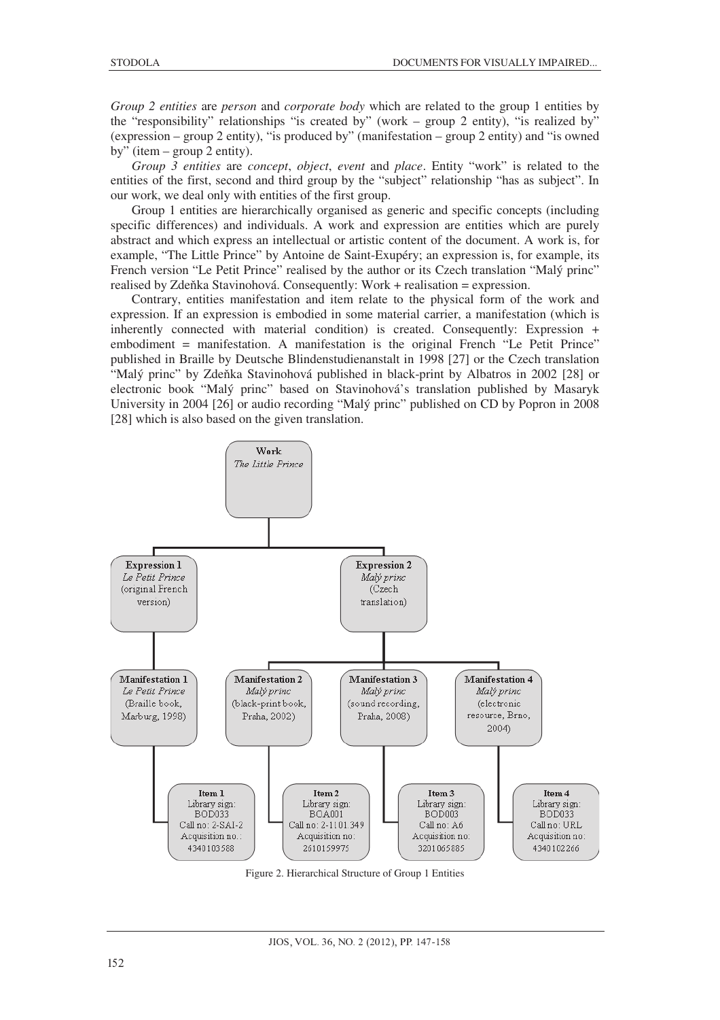*Group 2 entities* are *person* and *corporate body* which are related to the group 1 entities by the "responsibility" relationships "is created by" (work – group 2 entity), "is realized by" (expression – group 2 entity), "is produced by" (manifestation – group 2 entity) and "is owned by" (item – group 2 entity).

*Group 3 entities* are *concept*, *object*, *event* and *place*. Entity "work" is related to the entities of the first, second and third group by the "subject" relationship "has as subject". In our work, we deal only with entities of the first group.

Group 1 entities are hierarchically organised as generic and specific concepts (including specific differences) and individuals. A work and expression are entities which are purely abstract and which express an intellectual or artistic content of the document. A work is, for example, "The Little Prince" by Antoine de Saint-Exupéry; an expression is, for example, its French version "Le Petit Prince" realised by the author or its Czech translation "Malý princ" realised by Zdeňka Stavinohová. Consequently: Work + realisation = expression.

Contrary, entities manifestation and item relate to the physical form of the work and expression. If an expression is embodied in some material carrier, a manifestation (which is inherently connected with material condition) is created. Consequently: Expression + embodiment = manifestation. A manifestation is the original French "Le Petit Prince" published in Braille by Deutsche Blindenstudienanstalt in 1998 [27] or the Czech translation "Malý princ" by Zdeňka Stavinohová published in black-print by Albatros in 2002 [28] or electronic book "Malý princ" based on Stavinohová's translation published by Masaryk University in 2004 [26] or audio recording "Malý princ" published on CD by Popron in 2008 [28] which is also based on the given translation.



Figure 2. Hierarchical Structure of Group 1 Entities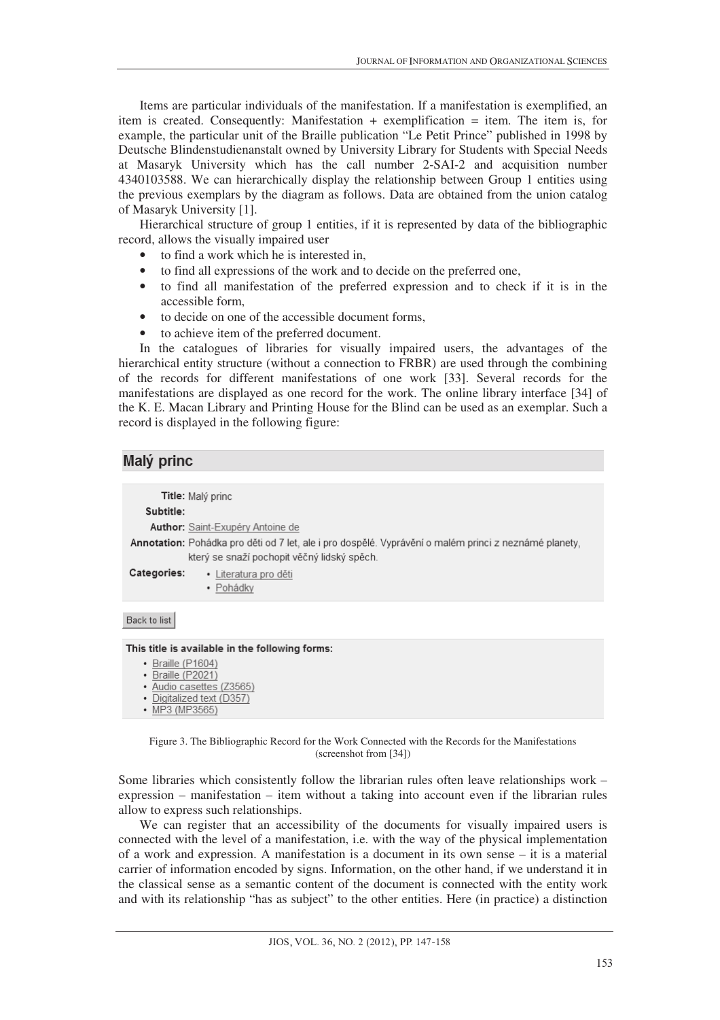Items are particular individuals of the manifestation. If a manifestation is exemplified, an item is created. Consequently: Manifestation + exemplification = item. The item is, for example, the particular unit of the Braille publication "Le Petit Prince" published in 1998 by Deutsche Blindenstudienanstalt owned by University Library for Students with Special Needs at Masaryk University which has the call number 2-SAI-2 and acquisition number 4340103588. We can hierarchically display the relationship between Group 1 entities using the previous exemplars by the diagram as follows. Data are obtained from the union catalog of Masaryk University [1].

Hierarchical structure of group 1 entities, if it is represented by data of the bibliographic record, allows the visually impaired user

- to find a work which he is interested in,
- to find all expressions of the work and to decide on the preferred one,
- to find all manifestation of the preferred expression and to check if it is in the accessible form,
- to decide on one of the accessible document forms,
- to achieve item of the preferred document.

In the catalogues of libraries for visually impaired users, the advantages of the hierarchical entity structure (without a connection to FRBR) are used through the combining of the records for different manifestations of one work [33]. Several records for the manifestations are displayed as one record for the work. The online library interface [34] of the K. E. Macan Library and Printing House for the Blind can be used as an exemplar. Such a record is displayed in the following figure:

# Malý princ

Title: Malý princ

### Subtitle:

Author: Saint-Exupéry Antoine de

Annotation: Pohádka pro děti od 7 let, ale i pro dospělé. Vyprávění o malém princi z neznámé planety, který se snaží pochopit věčný lidský spěch.

- Categories: · Literatura pro děti
	- · Pohádky

Back to list

#### This title is available in the following forms:

- Braille (P1604)
- Braille (P2021)
- · Audio casettes (Z3565)
- · Digitalized text (D357)
- MP3 (MP3565)

Figure 3. The Bibliographic Record for the Work Connected with the Records for the Manifestations (screenshot from [34])

Some libraries which consistently follow the librarian rules often leave relationships work – expression – manifestation – item without a taking into account even if the librarian rules allow to express such relationships.

We can register that an accessibility of the documents for visually impaired users is connected with the level of a manifestation, i.e. with the way of the physical implementation of a work and expression. A manifestation is a document in its own sense – it is a material carrier of information encoded by signs. Information, on the other hand, if we understand it in the classical sense as a semantic content of the document is connected with the entity work and with its relationship "has as subject" to the other entities. Here (in practice) a distinction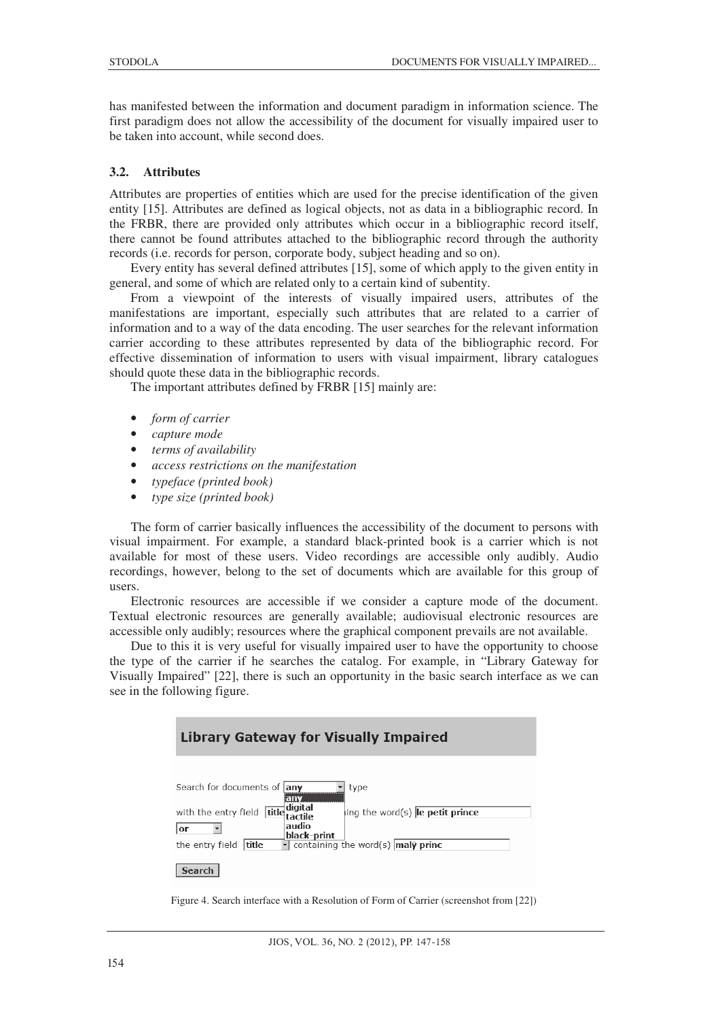has manifested between the information and document paradigm in information science. The first paradigm does not allow the accessibility of the document for visually impaired user to be taken into account, while second does.

### **3.2. Attributes**

Attributes are properties of entities which are used for the precise identification of the given entity [15]. Attributes are defined as logical objects, not as data in a bibliographic record. In the FRBR, there are provided only attributes which occur in a bibliographic record itself, there cannot be found attributes attached to the bibliographic record through the authority records (i.e. records for person, corporate body, subject heading and so on).

Every entity has several defined attributes [15], some of which apply to the given entity in general, and some of which are related only to a certain kind of subentity.

From a viewpoint of the interests of visually impaired users, attributes of the manifestations are important, especially such attributes that are related to a carrier of information and to a way of the data encoding. The user searches for the relevant information carrier according to these attributes represented by data of the bibliographic record. For effective dissemination of information to users with visual impairment, library catalogues should quote these data in the bibliographic records.

The important attributes defined by FRBR [15] mainly are:

- *form of carrier*
- *capture mode*
- *terms of availability*
- *access restrictions on the manifestation*
- *typeface (printed book)*
- *type size (printed book)*

The form of carrier basically influences the accessibility of the document to persons with visual impairment. For example, a standard black-printed book is a carrier which is not available for most of these users. Video recordings are accessible only audibly. Audio recordings, however, belong to the set of documents which are available for this group of users.

Electronic resources are accessible if we consider a capture mode of the document. Textual electronic resources are generally available; audiovisual electronic resources are accessible only audibly; resources where the graphical component prevails are not available.

Due to this it is very useful for visually impaired user to have the opportunity to choose the type of the carrier if he searches the catalog. For example, in "Library Gateway for Visually Impaired" [22], there is such an opportunity in the basic search interface as we can see in the following figure.

| <b>Library Gateway for Visually Impaired</b>                                                                                                                                                                                                             |
|----------------------------------------------------------------------------------------------------------------------------------------------------------------------------------------------------------------------------------------------------------|
| Search for documents of any<br>type<br>any<br>digital<br>with the entry field<br>ing the word(s) <b>le petit prince</b><br>title<br>tactile<br>audio<br>or<br>black-print<br>containing the word(s) $ $ malý princ<br>the entry field<br>title<br>Search |

Figure 4. Search interface with a Resolution of Form of Carrier (screenshot from [22])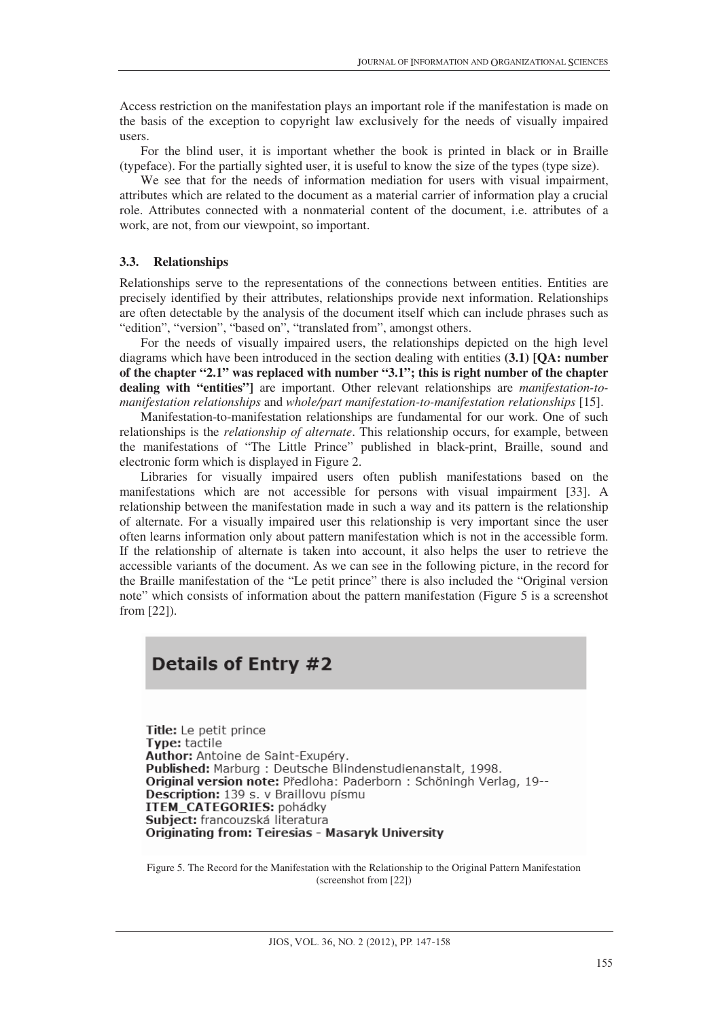Access restriction on the manifestation plays an important role if the manifestation is made on the basis of the exception to copyright law exclusively for the needs of visually impaired users.

For the blind user, it is important whether the book is printed in black or in Braille (typeface). For the partially sighted user, it is useful to know the size of the types (type size).

We see that for the needs of information mediation for users with visual impairment, attributes which are related to the document as a material carrier of information play a crucial role. Attributes connected with a nonmaterial content of the document, i.e. attributes of a work, are not, from our viewpoint, so important.

#### **3.3. Relationships**

Relationships serve to the representations of the connections between entities. Entities are precisely identified by their attributes, relationships provide next information. Relationships are often detectable by the analysis of the document itself which can include phrases such as "edition", "version", "based on", "translated from", amongst others.

For the needs of visually impaired users, the relationships depicted on the high level diagrams which have been introduced in the section dealing with entities **(3.1) [QA: number of the chapter "2.1" was replaced with number "3.1"; this is right number of the chapter dealing with "entities"]** are important. Other relevant relationships are *manifestation-tomanifestation relationships* and *whole/part manifestation-to-manifestation relationships* [15].

Manifestation-to-manifestation relationships are fundamental for our work. One of such relationships is the *relationship of alternate*. This relationship occurs, for example, between the manifestations of "The Little Prince" published in black-print, Braille, sound and electronic form which is displayed in Figure 2.

Libraries for visually impaired users often publish manifestations based on the manifestations which are not accessible for persons with visual impairment [33]. A relationship between the manifestation made in such a way and its pattern is the relationship of alternate. For a visually impaired user this relationship is very important since the user often learns information only about pattern manifestation which is not in the accessible form. If the relationship of alternate is taken into account, it also helps the user to retrieve the accessible variants of the document. As we can see in the following picture, in the record for the Braille manifestation of the "Le petit prince" there is also included the "Original version note" which consists of information about the pattern manifestation (Figure 5 is a screenshot from [22]).

# Details of Entry #2

Title: Le petit prince Type: tactile Author: Antoine de Saint-Exupéry. Published: Marburg : Deutsche Blindenstudienanstalt, 1998. Original version note: Předloha: Paderborn : Schöningh Verlag, 19--Description: 139 s. v Braillovu písmu ITEM\_CATEGORIES: pohádky Subiect: francouzská literatura **Originating from: Teiresias - Masaryk University** 

Figure 5. The Record for the Manifestation with the Relationship to the Original Pattern Manifestation (screenshot from [22])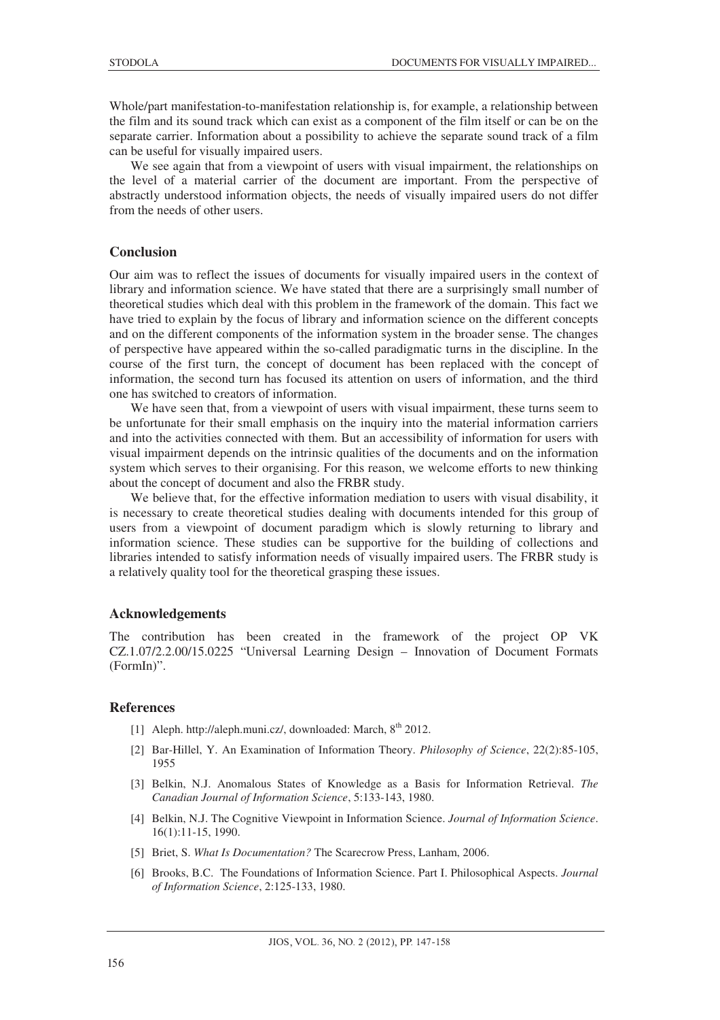Whole/part manifestation-to-manifestation relationship is, for example, a relationship between the film and its sound track which can exist as a component of the film itself or can be on the separate carrier. Information about a possibility to achieve the separate sound track of a film can be useful for visually impaired users.

We see again that from a viewpoint of users with visual impairment, the relationships on the level of a material carrier of the document are important. From the perspective of abstractly understood information objects, the needs of visually impaired users do not differ from the needs of other users.

## **Conclusion**

Our aim was to reflect the issues of documents for visually impaired users in the context of library and information science. We have stated that there are a surprisingly small number of theoretical studies which deal with this problem in the framework of the domain. This fact we have tried to explain by the focus of library and information science on the different concepts and on the different components of the information system in the broader sense. The changes of perspective have appeared within the so-called paradigmatic turns in the discipline. In the course of the first turn, the concept of document has been replaced with the concept of information, the second turn has focused its attention on users of information, and the third one has switched to creators of information.

We have seen that, from a viewpoint of users with visual impairment, these turns seem to be unfortunate for their small emphasis on the inquiry into the material information carriers and into the activities connected with them. But an accessibility of information for users with visual impairment depends on the intrinsic qualities of the documents and on the information system which serves to their organising. For this reason, we welcome efforts to new thinking about the concept of document and also the FRBR study.

We believe that, for the effective information mediation to users with visual disability, it is necessary to create theoretical studies dealing with documents intended for this group of users from a viewpoint of document paradigm which is slowly returning to library and information science. These studies can be supportive for the building of collections and libraries intended to satisfy information needs of visually impaired users. The FRBR study is a relatively quality tool for the theoretical grasping these issues.

#### **Acknowledgements**

The contribution has been created in the framework of the project OP VK CZ.1.07/2.2.00/15.0225 "Universal Learning Design – Innovation of Document Formats (FormIn)".

# **References**

- [1] Aleph. http://aleph.muni.cz/, downloaded: March, 8<sup>th</sup> 2012.
- [2] Bar-Hillel, Y. An Examination of Information Theory. *Philosophy of Science*, 22(2):85-105, 1955
- [3] Belkin, N.J. Anomalous States of Knowledge as a Basis for Information Retrieval. *The Canadian Journal of Information Science*, 5:133-143, 1980.
- [4] Belkin, N.J. The Cognitive Viewpoint in Information Science. *Journal of Information Science*. 16(1):11-15, 1990.
- [5] Briet, S. *What Is Documentation?* The Scarecrow Press, Lanham, 2006.
- [6] Brooks, B.C. The Foundations of Information Science. Part I. Philosophical Aspects. *Journal of Information Science*, 2:125-133, 1980.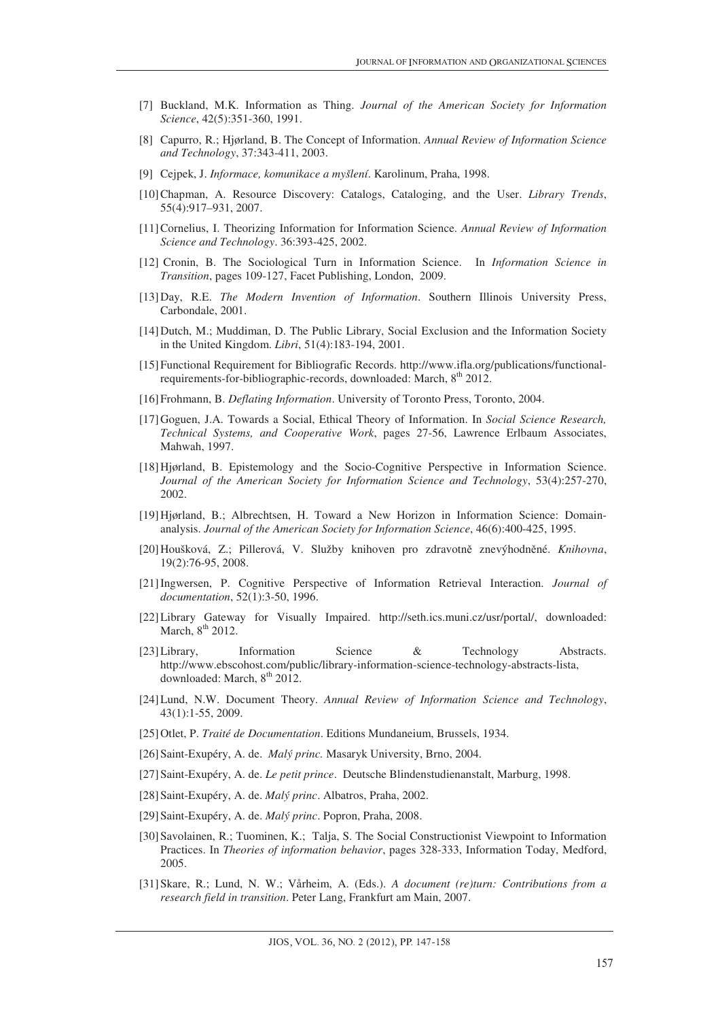- [7] Buckland, M.K. Information as Thing. *Journal of the American Society for Information Science*, 42(5):351-360, 1991.
- [8] Capurro, R.; Hjørland, B. The Concept of Information. *Annual Review of Information Science and Technology*, 37:343-411, 2003.
- [9] Cejpek, J. *Informace, komunikace a myšlení*. Karolinum, Praha, 1998.
- [10]Chapman, A. Resource Discovery: Catalogs, Cataloging, and the User. *Library Trends*, 55(4):917–931, 2007.
- [11]Cornelius, I. Theorizing Information for Information Science. *Annual Review of Information Science and Technology*. 36:393-425, 2002.
- [12] Cronin, B. The Sociological Turn in Information Science. In *Information Science in Transition*, pages 109-127, Facet Publishing, London, 2009.
- [13]Day, R.E. *The Modern Invention of Information*. Southern Illinois University Press, Carbondale, 2001.
- [14]Dutch, M.; Muddiman, D. The Public Library, Social Exclusion and the Information Society in the United Kingdom. *Libri*, 51(4):183-194, 2001.
- [15]Functional Requirement for Bibliografic Records. http://www.ifla.org/publications/functionalrequirements-for-bibliographic-records, downloaded: March, 8<sup>th</sup> 2012.
- [16]Frohmann, B. *Deflating Information*. University of Toronto Press, Toronto, 2004.
- [17]Goguen, J.A. Towards a Social, Ethical Theory of Information. In *Social Science Research, Technical Systems, and Cooperative Work*, pages 27-56, Lawrence Erlbaum Associates, Mahwah, 1997.
- [18]Hjørland, B. Epistemology and the Socio-Cognitive Perspective in Information Science. *Journal of the American Society for Information Science and Technology*, 53(4):257-270, 2002.
- [19]Hjørland, B.; Albrechtsen, H. Toward a New Horizon in Information Science: Domainanalysis. *Journal of the American Society for Information Science*, 46(6):400-425, 1995.
- [20]Houšková, Z.; Pillerová, V. Služby knihoven pro zdravotnČ znevýhodnČné. *Knihovna*, 19(2):76-95, 2008.
- [21]Ingwersen, P. Cognitive Perspective of Information Retrieval Interaction. *Journal of documentation*, 52(1):3-50, 1996.
- [22]Library Gateway for Visually Impaired. http://seth.ics.muni.cz/usr/portal/, downloaded: March,  $8<sup>th</sup>$  2012.
- [23]Library, Information Science & Technology Abstracts. http://www.ebscohost.com/public/library-information-science-technology-abstracts-lista, downloaded: March, 8<sup>th</sup> 2012.
- [24]Lund, N.W. Document Theory. *Annual Review of Information Science and Technology*, 43(1):1-55, 2009.
- [25]Otlet, P. *Traité de Documentation*. Editions Mundaneium, Brussels, 1934.
- [26]Saint-Exupéry, A. de. *Malý princ.* Masaryk University, Brno, 2004.
- [27]Saint-Exupéry, A. de. *Le petit prince*. Deutsche Blindenstudienanstalt, Marburg, 1998.
- [28]Saint-Exupéry, A. de. *Malý princ*. Albatros, Praha, 2002.
- [29]Saint-Exupéry, A. de. *Malý princ*. Popron, Praha, 2008.
- [30]Savolainen, R.; Tuominen, K.; Talja, S. The Social Constructionist Viewpoint to Information Practices. In *Theories of information behavior*, pages 328-333, Information Today, Medford, 2005.
- [31]Skare, R.; Lund, N. W.; Vårheim, A. (Eds.). *A document (re)turn: Contributions from a research field in transition*. Peter Lang, Frankfurt am Main, 2007.